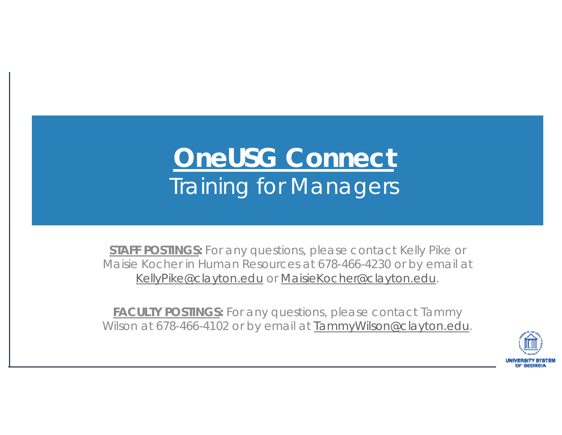### **OneUSG Connect** Training for Managers

*STAFF POSTINGS: For any questions, please contact Kelly Pike or Maisie Kocher in Human Resources at 678-466-4230 or by email at KellyPike@clayton.edu or MaisieKocher@clayton.edu.*

*FACULTY POSTINGS: For any questions, please contact Tammy Wilson at 678-466-4102 or by email at TammyWilson@clayton.edu.*

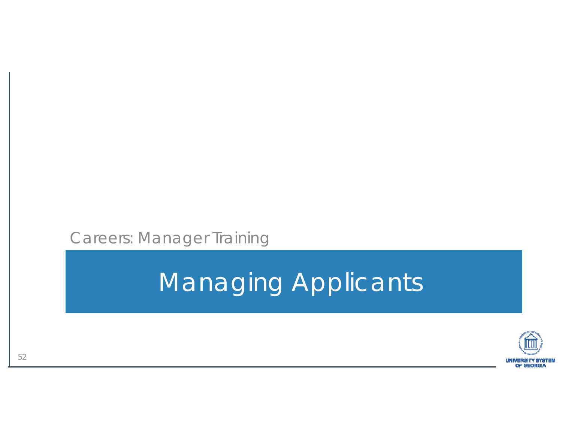Careers: Manager Training

## Managing Applicants

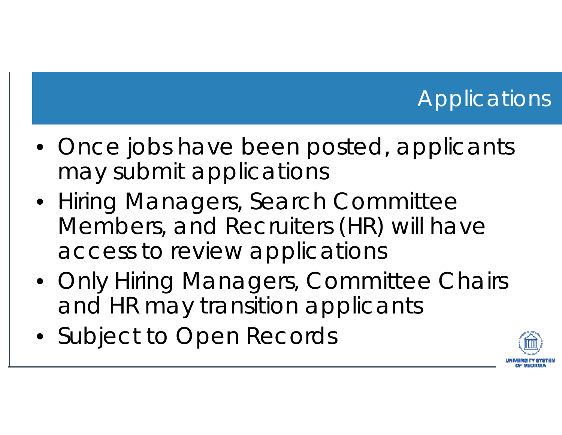#### **Applications**

- Once jobs have been posted, applicants may submit applications
- Hiring Managers, Search Committee Members, and Recruiters (HR) will have access to review applications
- Only Hiring Managers, Committee Chairs and HR may transition applicants
- Subject to Open Records

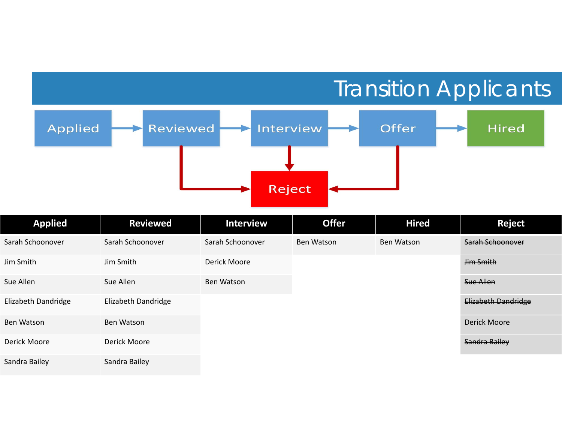#### Transition Applicants



| <b>Applied</b>      | <b>Reviewed</b>     | <b>Interview</b> | <b>Offer</b>      | <b>Hired</b> | <b>Reject</b>       |
|---------------------|---------------------|------------------|-------------------|--------------|---------------------|
| Sarah Schoonover    | Sarah Schoonover    | Sarah Schoonover | <b>Ben Watson</b> | Ben Watson   | Sarah Schoonover    |
| Jim Smith           | Jim Smith           | Derick Moore     |                   |              | <b>Jim Smith</b>    |
| Sue Allen           | Sue Allen           | Ben Watson       |                   |              | <b>Sue Allen</b>    |
| Elizabeth Dandridge | Elizabeth Dandridge |                  |                   |              | Elizabeth Dandridge |
| <b>Ben Watson</b>   | Ben Watson          |                  |                   |              | <b>Derick Moore</b> |
| Derick Moore        | Derick Moore        |                  |                   |              | Sandra Bailey       |
| Sandra Bailey       | Sandra Bailey       |                  |                   |              |                     |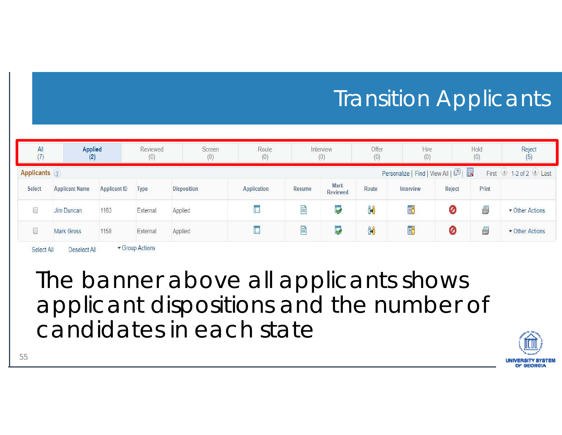#### **Transition Applicants**

| All<br>(7)   | Applied<br>(2)        |                     | Reviewed<br>(0) | Screen<br>(0) | Route<br>(0) |        | Interview<br>(0) | Offer<br>(0) | Hire<br>(0)                       |        | Hold<br>(0) | Reject<br>(5)       |
|--------------|-----------------------|---------------------|-----------------|---------------|--------------|--------|------------------|--------------|-----------------------------------|--------|-------------|---------------------|
| Applicants ? |                       |                     |                 |               |              |        |                  |              | Personalize   Find   View All   2 |        |             | First 1-2 of 2 Last |
| Select       | <b>Applicant Name</b> | <b>Applicant ID</b> | Type            | Disposition   | Application  | Resume | Mark<br>Reviewed | Route        | Interview                         | Reject | Print       |                     |
| 8            | Jim Duncan            | 1163                | External        | Applied       | T            | 目      | Ų                | ôô           | Ŧ,                                | 0      | 6           | ▼ Other Actions     |
| O            | Mark Gross            | 1158                | External        | Applied       | Œ.           | E      | Ų                | ôô           | ĸ                                 | 0      | 6           | • Other Actions     |

The banner above all applicants shows applicant dispositions and the number of candidates in each state

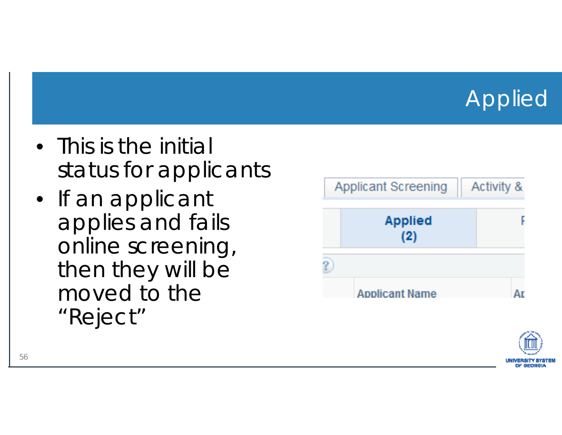#### Applied

- This is the initial status for applicants
- If an applicant applies and fails online screening, then they will be moved to the "Reject"



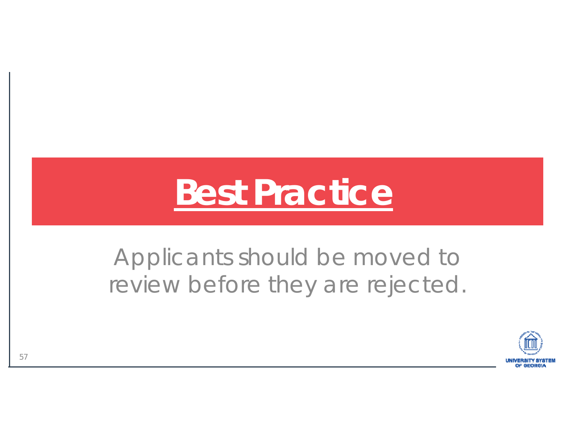# **Best Practice**

#### Applicants should be moved to review before they are rejected.

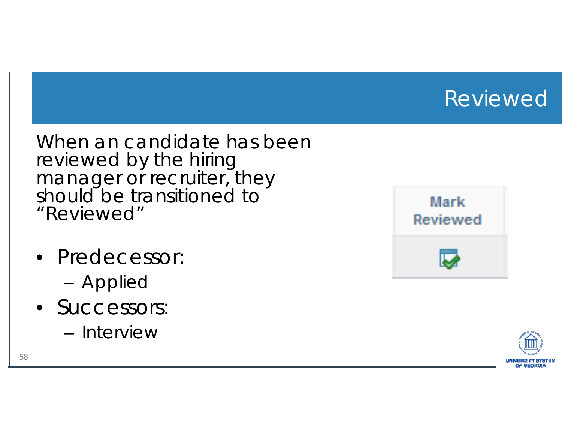#### Reviewed

When an candidate has been reviewed by the hiring manager or recruiter, they should be transitioned to "Reviewed"

- Predecessor:
	- –– Appliec
- Successors:
	- Interview



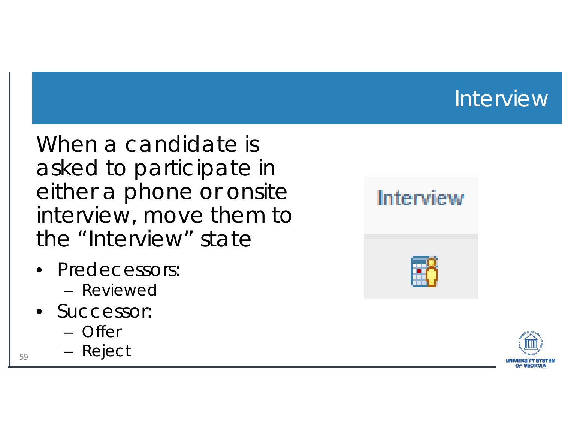#### **Interview**

When a candidate is asked to participate in either a phone or onsite interview, move them to the "Interview" state

- Predecessors:
	- Reviewed
- Successor:
	- Offer
- <sub>59</sub> Reject



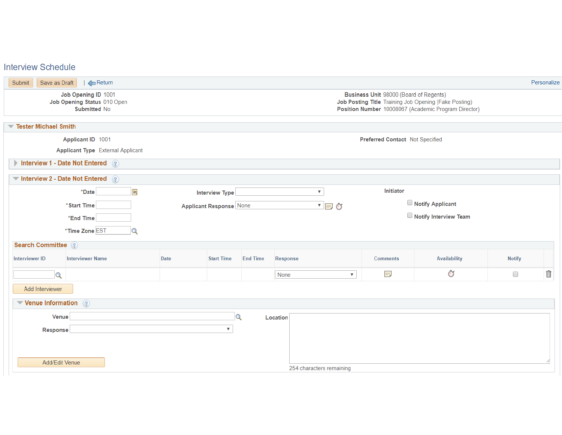#### **Interview Schedule**

| Submit<br>Save as Draft<br>$\Box$ Return<br>Personalize<br>Job Opening ID 1001<br>Business Unit 98000 (Board of Regents)<br>Job Posting Title Training Job Opening (Fake Posting)<br>Job Opening Status 010 Open<br>Position Number 10008067 (Academic Program Director)<br>Submitted No<br><b>Tester Michael Smith</b><br>$\overline{\phantom{a}}$<br>Applicant ID 1001<br>Preferred Contact Not Specified<br><b>Applicant Type</b> External Applicant<br>Interview 1 - Date Not Entered (?)<br>Interview 2 - Date Not Entered $\binom{2}{3}$ |
|------------------------------------------------------------------------------------------------------------------------------------------------------------------------------------------------------------------------------------------------------------------------------------------------------------------------------------------------------------------------------------------------------------------------------------------------------------------------------------------------------------------------------------------------|
|                                                                                                                                                                                                                                                                                                                                                                                                                                                                                                                                                |
|                                                                                                                                                                                                                                                                                                                                                                                                                                                                                                                                                |
|                                                                                                                                                                                                                                                                                                                                                                                                                                                                                                                                                |
|                                                                                                                                                                                                                                                                                                                                                                                                                                                                                                                                                |
|                                                                                                                                                                                                                                                                                                                                                                                                                                                                                                                                                |
|                                                                                                                                                                                                                                                                                                                                                                                                                                                                                                                                                |
|                                                                                                                                                                                                                                                                                                                                                                                                                                                                                                                                                |
| Initiator<br>$\mathbf{B}$<br>*Date<br>$\boldsymbol{\mathrm{v}}$<br><b>Interview Type</b>                                                                                                                                                                                                                                                                                                                                                                                                                                                       |
| Notify Applicant<br>$\blacksquare$<br>*Start Time<br><b>Applicant Response None</b>                                                                                                                                                                                                                                                                                                                                                                                                                                                            |
| Notify Interview Team<br>"End Time                                                                                                                                                                                                                                                                                                                                                                                                                                                                                                             |
| *Time Zone EST<br>$\alpha$                                                                                                                                                                                                                                                                                                                                                                                                                                                                                                                     |
| <b>Search Committee</b> ?                                                                                                                                                                                                                                                                                                                                                                                                                                                                                                                      |
| <b>Interviewer ID</b><br><b>Interviewer Name</b><br><b>Date</b><br><b>Start Time</b><br><b>End Time</b><br><b>Availability</b><br><b>Notify</b><br>Response<br><b>Comments</b>                                                                                                                                                                                                                                                                                                                                                                 |
| $\widehat{\mathbb{I}}$<br>$\mathbb{S}^{\mathbb{Z}}$<br>m,<br>$\Box$<br>$\mathbf Q$<br>None<br>$\boldsymbol{\mathrm{v}}$                                                                                                                                                                                                                                                                                                                                                                                                                        |
| Add Interviewer                                                                                                                                                                                                                                                                                                                                                                                                                                                                                                                                |
| $\blacktriangledown$ Venue Information $\binom{2}{3}$                                                                                                                                                                                                                                                                                                                                                                                                                                                                                          |
| $\mathbf Q$<br>Venue<br>Location                                                                                                                                                                                                                                                                                                                                                                                                                                                                                                               |
| $\boldsymbol{\mathrm{v}}$<br>Response                                                                                                                                                                                                                                                                                                                                                                                                                                                                                                          |
|                                                                                                                                                                                                                                                                                                                                                                                                                                                                                                                                                |
|                                                                                                                                                                                                                                                                                                                                                                                                                                                                                                                                                |
| Add/Edit Venue<br>254 characters remaining                                                                                                                                                                                                                                                                                                                                                                                                                                                                                                     |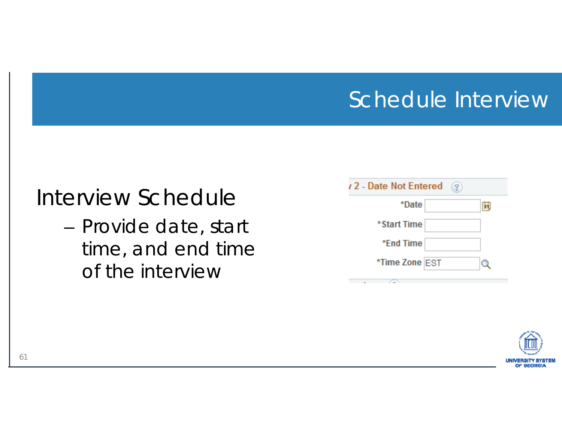#### Schedule Interview

#### Interview Schedule

– Provide date, start time, and end time of the interview

| /2 - Date Not Entered<br>$\left( 2\right)$ |    |
|--------------------------------------------|----|
| *Date                                      | 31 |
| *Start Time                                |    |
| *End Time                                  |    |
| *Time Zone EST                             |    |
|                                            |    |

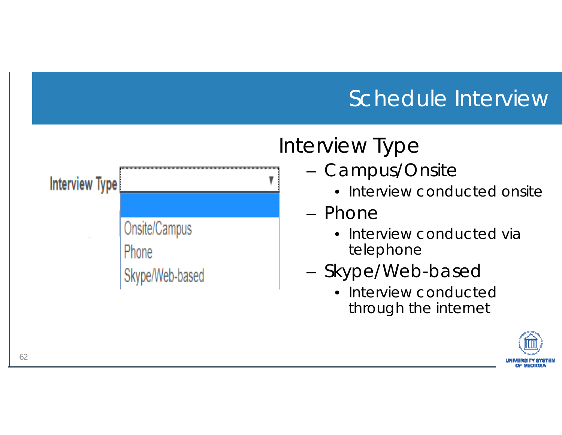#### Schedule Interview



#### Interview Type

- – Campus/Onsite
	- Interview conducted onsite
- Phone
	- Interview conducted via telephone
- –- Skype/Web-based
	- Interview conducted through the internet

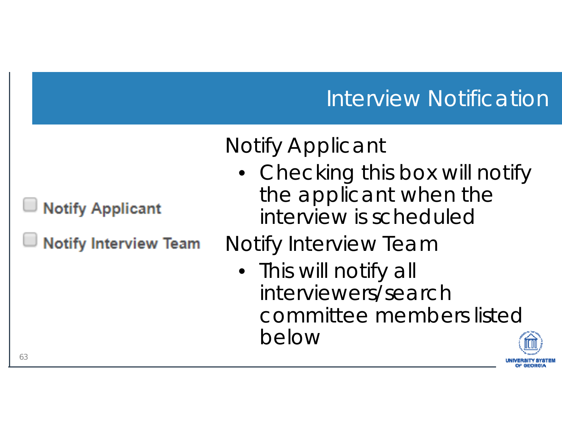#### Interview Notification

#### Notify Applicant

• Checking this box will notify the applicant when the interview is scheduled

#### Notify Interview Team

• This will notify all interviewers/search committee members listed below



63

**Notify Applicant** 

**Notify Interview Team**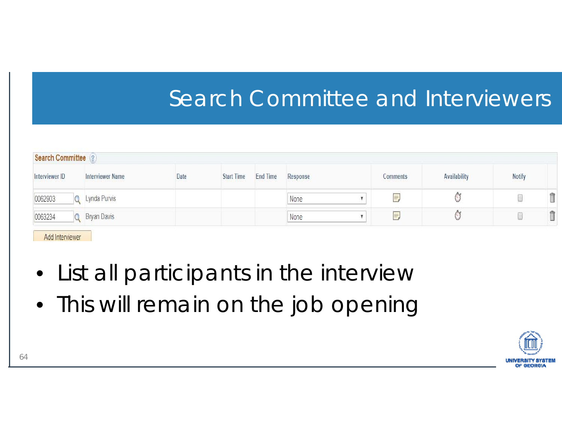#### Search Committee and Interviewers

| <b>Search Committee</b>                   |             |                         |      |                   |                 |          |                             |              |               |   |
|-------------------------------------------|-------------|-------------------------|------|-------------------|-----------------|----------|-----------------------------|--------------|---------------|---|
| Interviewer ID<br>02. KORALISTA VARIJEN 1 |             | <b>Interviewer Name</b> | Date | <b>Start Time</b> | <b>End Time</b> | Response | Comments<br>124673331331107 | Availability | <b>Notify</b> |   |
| 0062903                                   |             | Lynda Purvis            |      |                   |                 | None     | $1 + 1 - 1$<br>$+0.004$     |              |               | Î |
| 0063234                                   | Bryan Davis |                         |      |                   |                 | None     |                             |              |               | Ĥ |
|                                           |             |                         |      |                   |                 |          |                             |              |               |   |

Add Interviewer

- List all participants in the interview
- This will remain on the job opening

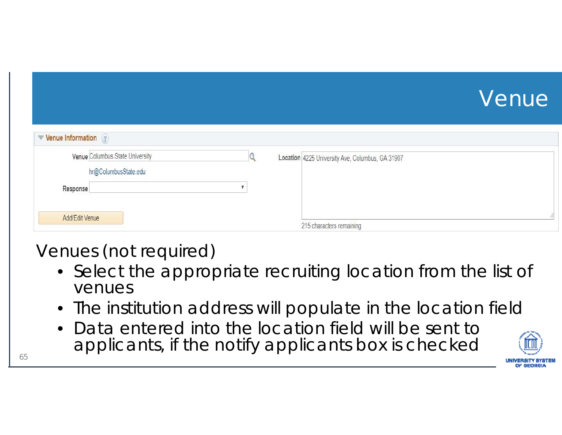#### Venue

| $\blacktriangleright$ Venue Information $\binom{2}{3}$ |                                                  |  |
|--------------------------------------------------------|--------------------------------------------------|--|
| Venue Columbus State University                        | Location 4225 University Ave, Columbus, GA 31907 |  |
| hr@ColumbusState.edu                                   |                                                  |  |
| Response                                               |                                                  |  |
|                                                        |                                                  |  |
| Add/Edit Venue                                         | 215 characters remaining                         |  |

#### Venues (not required)

- Select the appropriate recruiting location from the list of venues
- $\bullet\,$  The institution address will populate in the location field
- • Data entered into the location field will be sent to applicants, if the notify applicants box is checked  $\frac{65}{65}$

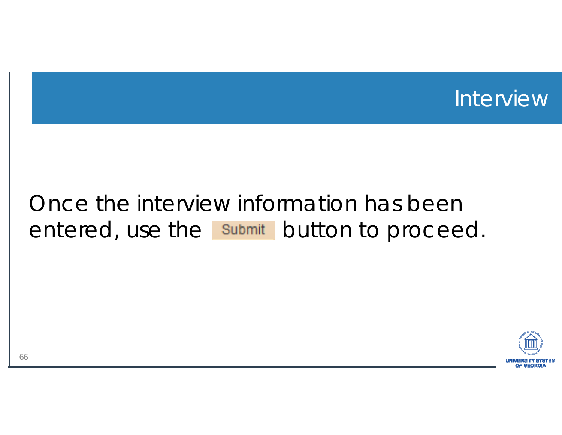

#### Once the interview information has been entered, use the submit button to proceed.

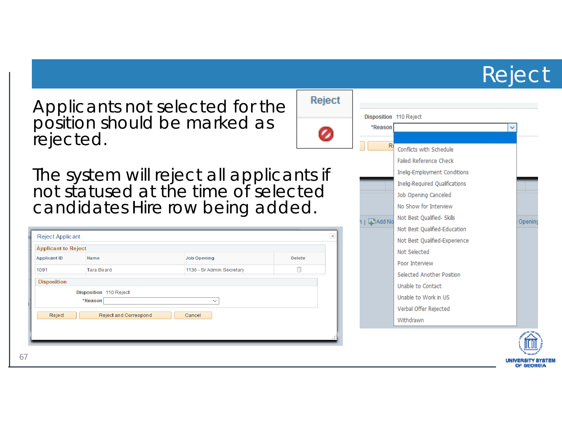#### Reject

Applicants not selected for the position should be marked as rejected.

The system will reject all applicants if not statused at the time of selected candidates Hire row being added.

| <b>Applicant to Reject</b> |                                   |                           |               |
|----------------------------|-----------------------------------|---------------------------|---------------|
| <b>Applicant ID</b>        | Name                              | <b>Job Opening</b>        | <b>Delete</b> |
| 1091                       | <b>Tara Beard</b>                 | 1136 - Sr Admin Secretary | Ñ             |
|                            | Disposition 110 Reject<br>*Reason | $\checkmark$              |               |
|                            |                                   |                           |               |



Reject

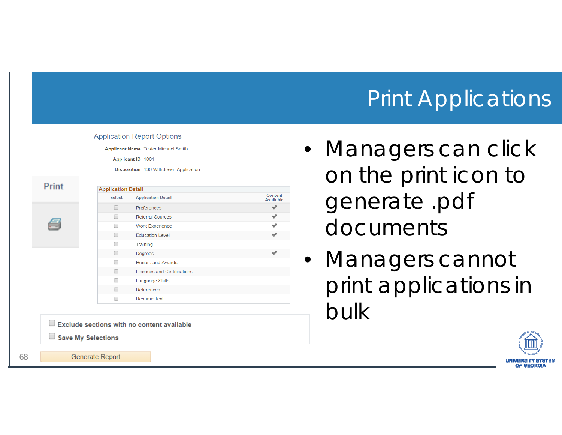#### Print Applications

|              |                           | Disposition 130 Withdrawn Application |                             |
|--------------|---------------------------|---------------------------------------|-----------------------------|
| <b>Print</b> | <b>Application Detail</b> |                                       |                             |
|              | <b>Select</b>             | <b>Application Detail</b>             | Content<br><b>Available</b> |
|              | $\Box$                    | Preferences                           | v                           |
|              | □                         | <b>Referral Sources</b>               | ᢦ                           |
|              | □                         | <b>Work Experience</b>                | ✔                           |
|              | $\Box$                    | <b>Education Level</b>                | ᢦ                           |
|              | □                         | Training                              |                             |
|              | □                         | Degrees                               | v                           |
|              | □                         | <b>Honors and Awards</b>              |                             |
|              | ∩                         | <b>Licenses and Certifications</b>    |                             |
|              | □                         | <b>Language Skills</b>                |                             |
|              | ∩                         | References                            |                             |
|              | $\Box$                    | <b>Resume Text</b>                    |                             |

- Managers can click on the print icon to generate .pdf documents
- Managers cannot print applications in bulk